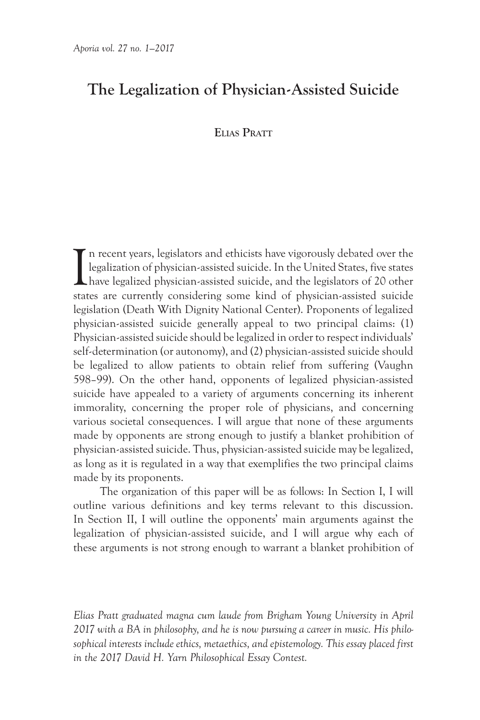# **The Legalization of Physician-Assisted Suicide**

# **Elias Pratt**

I n recent years, legislators and ethicists have vigorously debated over the legalization of physician-assisted suicide. In the United States, five states have legalized physician-assisted suicide, and the legislators of 20 other states are currently considering some kind of physician-assisted suicide legislation (Death With Dignity National Center). Proponents of legalized physician-assisted suicide generally appeal to two principal claims: (1) Physician-assisted suicide should be legalized in order to respect individuals' self-determination (or autonomy), and (2) physician-assisted suicide should be legalized to allow patients to obtain relief from suffering (Vaughn 598–99). On the other hand, opponents of legalized physician-assisted suicide have appealed to a variety of arguments concerning its inherent immorality, concerning the proper role of physicians, and concerning various societal consequences. I will argue that none of these arguments made by opponents are strong enough to justify a blanket prohibition of physician-assisted suicide. Thus, physician-assisted suicide may be legalized, as long as it is regulated in a way that exemplifies the two principal claims made by its proponents.

The organization of this paper will be as follows: In Section I, I will outline various definitions and key terms relevant to this discussion. In Section II, I will outline the opponents' main arguments against the legalization of physician-assisted suicide, and I will argue why each of these arguments is not strong enough to warrant a blanket prohibition of

*Elias Pratt graduated magna cum laude from Brigham Young University in April 2017 with a BA in philosophy, and he is now pursuing a career in music. His philosophical interests include ethics, metaethics, and epistemology. This essay placed first in the 2017 David H. Yarn Philosophical Essay Contest.*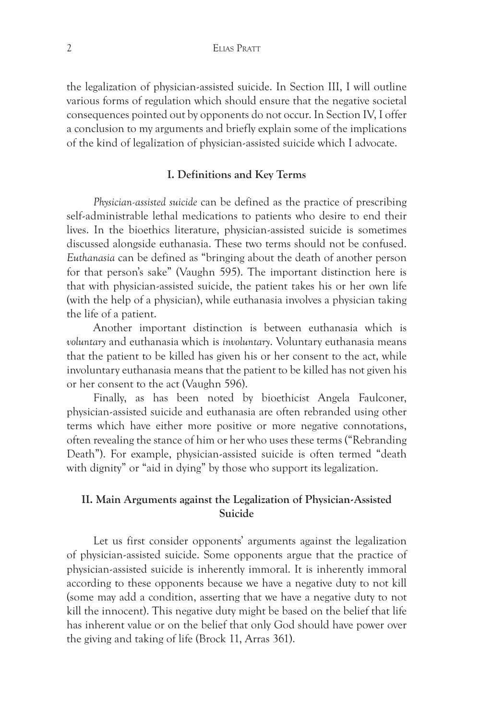the legalization of physician-assisted suicide. In Section III, I will outline various forms of regulation which should ensure that the negative societal consequences pointed out by opponents do not occur. In Section IV, I offer a conclusion to my arguments and briefly explain some of the implications of the kind of legalization of physician-assisted suicide which I advocate.

## **I. Definitions and Key Terms**

*Physician-assisted suicide* can be defined as the practice of prescribing self-administrable lethal medications to patients who desire to end their lives. In the bioethics literature, physician-assisted suicide is sometimes discussed alongside euthanasia. These two terms should not be confused. *Euthanasia* can be defined as "bringing about the death of another person for that person's sake" (Vaughn 595). The important distinction here is that with physician-assisted suicide, the patient takes his or her own life (with the help of a physician), while euthanasia involves a physician taking the life of a patient.

Another important distinction is between euthanasia which is *voluntary* and euthanasia which is *involuntary*. Voluntary euthanasia means that the patient to be killed has given his or her consent to the act, while involuntary euthanasia means that the patient to be killed has not given his or her consent to the act (Vaughn 596).

Finally, as has been noted by bioethicist Angela Faulconer, physician-assisted suicide and euthanasia are often rebranded using other terms which have either more positive or more negative connotations, often revealing the stance of him or her who uses these terms ("Rebranding Death"). For example, physician-assisted suicide is often termed "death with dignity" or "aid in dying" by those who support its legalization.

## **II. Main Arguments against the Legalization of Physician-Assisted Suicide**

Let us first consider opponents' arguments against the legalization of physician-assisted suicide. Some opponents argue that the practice of physician-assisted suicide is inherently immoral. It is inherently immoral according to these opponents because we have a negative duty to not kill (some may add a condition, asserting that we have a negative duty to not kill the innocent). This negative duty might be based on the belief that life has inherent value or on the belief that only God should have power over the giving and taking of life (Brock 11, Arras 361).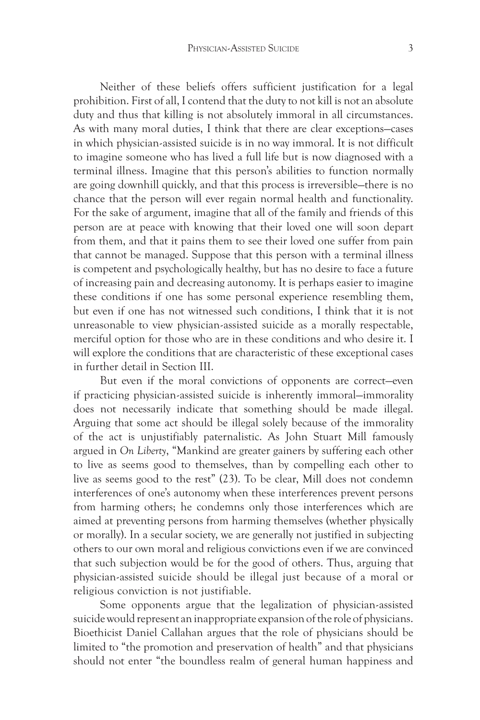Neither of these beliefs offers sufficient justification for a legal prohibition. First of all, I contend that the duty to not kill is not an absolute duty and thus that killing is not absolutely immoral in all circumstances. As with many moral duties, I think that there are clear exceptions—cases in which physician-assisted suicide is in no way immoral. It is not difficult to imagine someone who has lived a full life but is now diagnosed with a terminal illness. Imagine that this person's abilities to function normally are going downhill quickly, and that this process is irreversible—there is no chance that the person will ever regain normal health and functionality. For the sake of argument, imagine that all of the family and friends of this person are at peace with knowing that their loved one will soon depart from them, and that it pains them to see their loved one suffer from pain that cannot be managed. Suppose that this person with a terminal illness is competent and psychologically healthy, but has no desire to face a future of increasing pain and decreasing autonomy. It is perhaps easier to imagine these conditions if one has some personal experience resembling them, but even if one has not witnessed such conditions, I think that it is not unreasonable to view physician-assisted suicide as a morally respectable, merciful option for those who are in these conditions and who desire it. I will explore the conditions that are characteristic of these exceptional cases in further detail in Section III.

But even if the moral convictions of opponents are correct—even if practicing physician-assisted suicide is inherently immoral—immorality does not necessarily indicate that something should be made illegal. Arguing that some act should be illegal solely because of the immorality of the act is unjustifiably paternalistic. As John Stuart Mill famously argued in *On Liberty*, "Mankind are greater gainers by suffering each other to live as seems good to themselves, than by compelling each other to live as seems good to the rest" (23). To be clear, Mill does not condemn interferences of one's autonomy when these interferences prevent persons from harming others; he condemns only those interferences which are aimed at preventing persons from harming themselves (whether physically or morally). In a secular society, we are generally not justified in subjecting others to our own moral and religious convictions even if we are convinced that such subjection would be for the good of others. Thus, arguing that physician-assisted suicide should be illegal just because of a moral or religious conviction is not justifiable.

Some opponents argue that the legalization of physician-assisted suicide would represent an inappropriate expansion of the role of physicians. Bioethicist Daniel Callahan argues that the role of physicians should be limited to "the promotion and preservation of health" and that physicians should not enter "the boundless realm of general human happiness and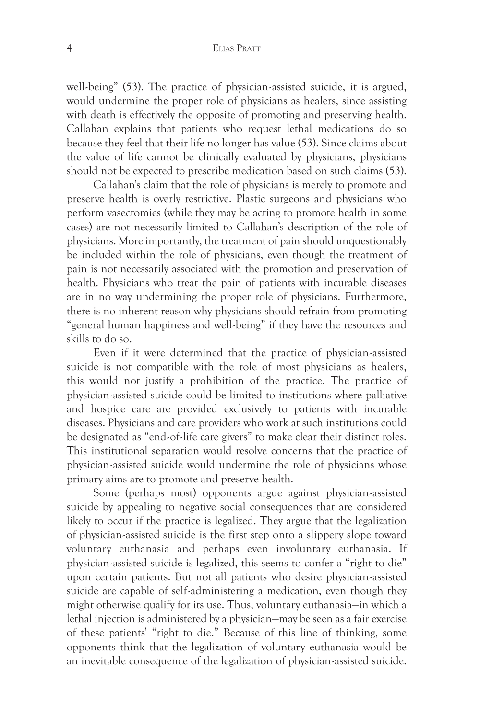#### 4 Elias Pratt

well-being" (53). The practice of physician-assisted suicide, it is argued, would undermine the proper role of physicians as healers, since assisting with death is effectively the opposite of promoting and preserving health. Callahan explains that patients who request lethal medications do so because they feel that their life no longer has value (53). Since claims about the value of life cannot be clinically evaluated by physicians, physicians should not be expected to prescribe medication based on such claims (53).

Callahan's claim that the role of physicians is merely to promote and preserve health is overly restrictive. Plastic surgeons and physicians who perform vasectomies (while they may be acting to promote health in some cases) are not necessarily limited to Callahan's description of the role of physicians. More importantly, the treatment of pain should unquestionably be included within the role of physicians, even though the treatment of pain is not necessarily associated with the promotion and preservation of health. Physicians who treat the pain of patients with incurable diseases are in no way undermining the proper role of physicians. Furthermore, there is no inherent reason why physicians should refrain from promoting "general human happiness and well-being" if they have the resources and skills to do so.

Even if it were determined that the practice of physician-assisted suicide is not compatible with the role of most physicians as healers, this would not justify a prohibition of the practice. The practice of physician-assisted suicide could be limited to institutions where palliative and hospice care are provided exclusively to patients with incurable diseases. Physicians and care providers who work at such institutions could be designated as "end-of-life care givers" to make clear their distinct roles. This institutional separation would resolve concerns that the practice of physician-assisted suicide would undermine the role of physicians whose primary aims are to promote and preserve health.

Some (perhaps most) opponents argue against physician-assisted suicide by appealing to negative social consequences that are considered likely to occur if the practice is legalized. They argue that the legalization of physician-assisted suicide is the first step onto a slippery slope toward voluntary euthanasia and perhaps even involuntary euthanasia. If physician-assisted suicide is legalized, this seems to confer a "right to die" upon certain patients. But not all patients who desire physician-assisted suicide are capable of self-administering a medication, even though they might otherwise qualify for its use. Thus, voluntary euthanasia—in which a lethal injection is administered by a physician—may be seen as a fair exercise of these patients' "right to die." Because of this line of thinking, some opponents think that the legalization of voluntary euthanasia would be an inevitable consequence of the legalization of physician-assisted suicide.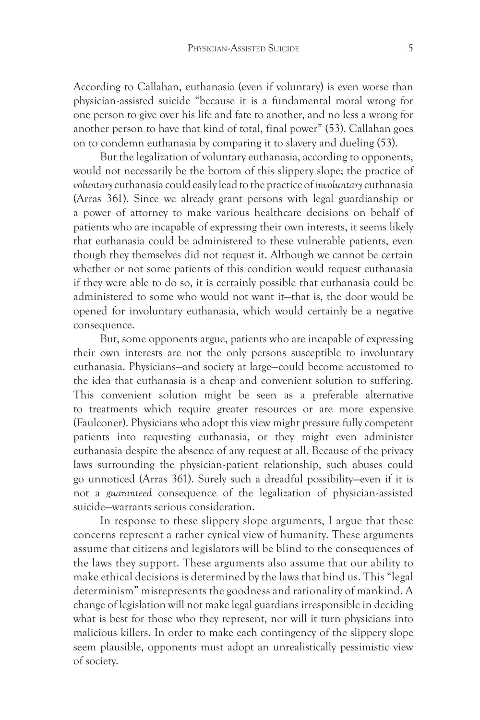According to Callahan, euthanasia (even if voluntary) is even worse than physician-assisted suicide "because it is a fundamental moral wrong for one person to give over his life and fate to another, and no less a wrong for another person to have that kind of total, final power" (53). Callahan goes on to condemn euthanasia by comparing it to slavery and dueling (53).

But the legalization of voluntary euthanasia, according to opponents, would not necessarily be the bottom of this slippery slope; the practice of *voluntary* euthanasia could easily lead to the practice of *involuntary* euthanasia (Arras 361). Since we already grant persons with legal guardianship or a power of attorney to make various healthcare decisions on behalf of patients who are incapable of expressing their own interests, it seems likely that euthanasia could be administered to these vulnerable patients, even though they themselves did not request it. Although we cannot be certain whether or not some patients of this condition would request euthanasia if they were able to do so, it is certainly possible that euthanasia could be administered to some who would not want it—that is, the door would be opened for involuntary euthanasia, which would certainly be a negative consequence.

But, some opponents argue, patients who are incapable of expressing their own interests are not the only persons susceptible to involuntary euthanasia. Physicians—and society at large—could become accustomed to the idea that euthanasia is a cheap and convenient solution to suffering. This convenient solution might be seen as a preferable alternative to treatments which require greater resources or are more expensive (Faulconer). Physicians who adopt this view might pressure fully competent patients into requesting euthanasia, or they might even administer euthanasia despite the absence of any request at all. Because of the privacy laws surrounding the physician-patient relationship, such abuses could go unnoticed (Arras 361). Surely such a dreadful possibility—even if it is not a *guaranteed* consequence of the legalization of physician-assisted suicide—warrants serious consideration.

In response to these slippery slope arguments, I argue that these concerns represent a rather cynical view of humanity. These arguments assume that citizens and legislators will be blind to the consequences of the laws they support. These arguments also assume that our ability to make ethical decisions is determined by the laws that bind us. This "legal determinism" misrepresents the goodness and rationality of mankind. A change of legislation will not make legal guardians irresponsible in deciding what is best for those who they represent, nor will it turn physicians into malicious killers. In order to make each contingency of the slippery slope seem plausible, opponents must adopt an unrealistically pessimistic view of society.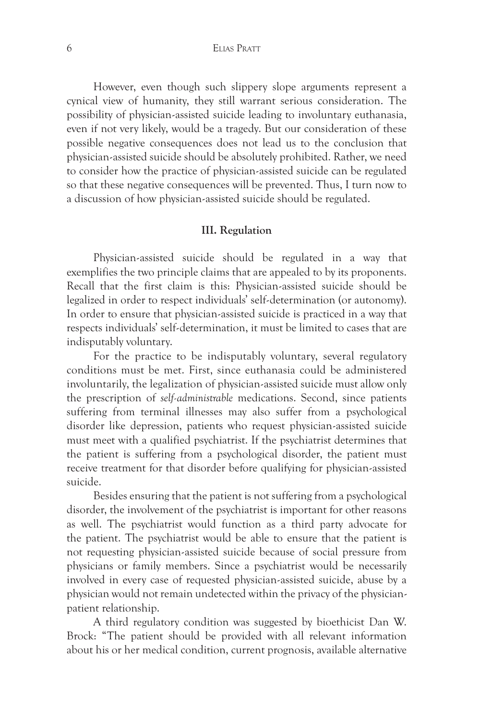#### 6 Elias Pratt

However, even though such slippery slope arguments represent a cynical view of humanity, they still warrant serious consideration. The possibility of physician-assisted suicide leading to involuntary euthanasia, even if not very likely, would be a tragedy. But our consideration of these possible negative consequences does not lead us to the conclusion that physician-assisted suicide should be absolutely prohibited. Rather, we need to consider how the practice of physician-assisted suicide can be regulated so that these negative consequences will be prevented. Thus, I turn now to a discussion of how physician-assisted suicide should be regulated.

### **III. Regulation**

Physician-assisted suicide should be regulated in a way that exemplifies the two principle claims that are appealed to by its proponents. Recall that the first claim is this: Physician-assisted suicide should be legalized in order to respect individuals' self-determination (or autonomy). In order to ensure that physician-assisted suicide is practiced in a way that respects individuals' self-determination, it must be limited to cases that are indisputably voluntary.

For the practice to be indisputably voluntary, several regulatory conditions must be met. First, since euthanasia could be administered involuntarily, the legalization of physician-assisted suicide must allow only the prescription of *self-administrable* medications. Second, since patients suffering from terminal illnesses may also suffer from a psychological disorder like depression, patients who request physician-assisted suicide must meet with a qualified psychiatrist. If the psychiatrist determines that the patient is suffering from a psychological disorder, the patient must receive treatment for that disorder before qualifying for physician-assisted suicide.

Besides ensuring that the patient is not suffering from a psychological disorder, the involvement of the psychiatrist is important for other reasons as well. The psychiatrist would function as a third party advocate for the patient. The psychiatrist would be able to ensure that the patient is not requesting physician-assisted suicide because of social pressure from physicians or family members. Since a psychiatrist would be necessarily involved in every case of requested physician-assisted suicide, abuse by a physician would not remain undetected within the privacy of the physicianpatient relationship.

A third regulatory condition was suggested by bioethicist Dan W. Brock: "The patient should be provided with all relevant information about his or her medical condition, current prognosis, available alternative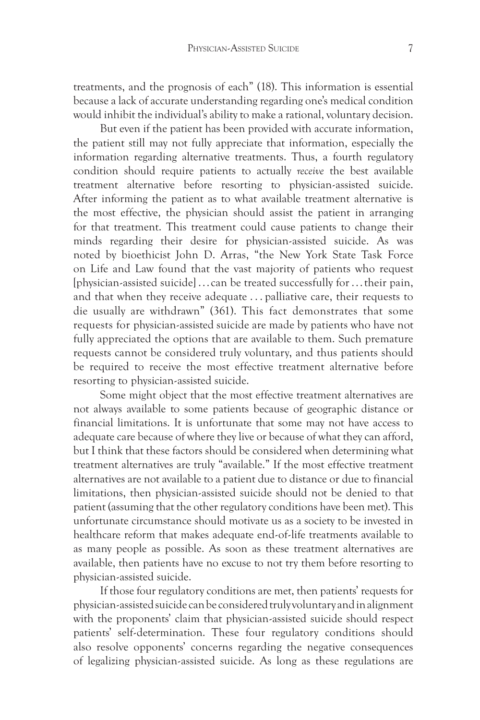treatments, and the prognosis of each" (18). This information is essential because a lack of accurate understanding regarding one's medical condition would inhibit the individual's ability to make a rational, voluntary decision.

But even if the patient has been provided with accurate information, the patient still may not fully appreciate that information, especially the information regarding alternative treatments. Thus, a fourth regulatory condition should require patients to actually *receive* the best available treatment alternative before resorting to physician-assisted suicide. After informing the patient as to what available treatment alternative is the most effective, the physician should assist the patient in arranging for that treatment. This treatment could cause patients to change their minds regarding their desire for physician-assisted suicide. As was noted by bioethicist John D. Arras, "the New York State Task Force on Life and Law found that the vast majority of patients who request [physician-assisted suicide] . . . can be treated successfully for . . . their pain, and that when they receive adequate . . . palliative care, their requests to die usually are withdrawn" (361). This fact demonstrates that some requests for physician-assisted suicide are made by patients who have not fully appreciated the options that are available to them. Such premature requests cannot be considered truly voluntary, and thus patients should be required to receive the most effective treatment alternative before resorting to physician-assisted suicide.

Some might object that the most effective treatment alternatives are not always available to some patients because of geographic distance or financial limitations. It is unfortunate that some may not have access to adequate care because of where they live or because of what they can afford, but I think that these factors should be considered when determining what treatment alternatives are truly "available." If the most effective treatment alternatives are not available to a patient due to distance or due to financial limitations, then physician-assisted suicide should not be denied to that patient (assuming that the other regulatory conditions have been met). This unfortunate circumstance should motivate us as a society to be invested in healthcare reform that makes adequate end-of-life treatments available to as many people as possible. As soon as these treatment alternatives are available, then patients have no excuse to not try them before resorting to physician-assisted suicide.

If those four regulatory conditions are met, then patients' requests for physician-assisted suicide can be considered truly voluntary and in alignment with the proponents' claim that physician-assisted suicide should respect patients' self-determination. These four regulatory conditions should also resolve opponents' concerns regarding the negative consequences of legalizing physician-assisted suicide. As long as these regulations are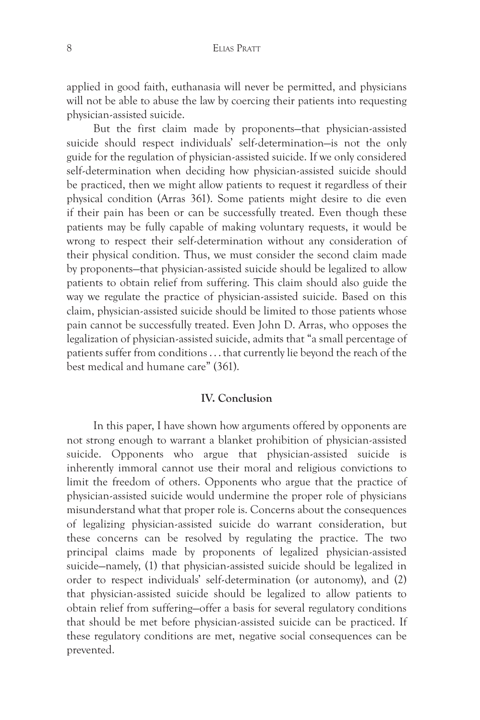applied in good faith, euthanasia will never be permitted, and physicians will not be able to abuse the law by coercing their patients into requesting physician-assisted suicide.

But the first claim made by proponents—that physician-assisted suicide should respect individuals' self-determination—is not the only guide for the regulation of physician-assisted suicide. If we only considered self-determination when deciding how physician-assisted suicide should be practiced, then we might allow patients to request it regardless of their physical condition (Arras 361). Some patients might desire to die even if their pain has been or can be successfully treated. Even though these patients may be fully capable of making voluntary requests, it would be wrong to respect their self-determination without any consideration of their physical condition. Thus, we must consider the second claim made by proponents—that physician-assisted suicide should be legalized to allow patients to obtain relief from suffering. This claim should also guide the way we regulate the practice of physician-assisted suicide. Based on this claim, physician-assisted suicide should be limited to those patients whose pain cannot be successfully treated. Even John D. Arras, who opposes the legalization of physician-assisted suicide, admits that "a small percentage of patients suffer from conditions . . . that currently lie beyond the reach of the best medical and humane care" (361).

## **IV. Conclusion**

In this paper, I have shown how arguments offered by opponents are not strong enough to warrant a blanket prohibition of physician-assisted suicide. Opponents who argue that physician-assisted suicide is inherently immoral cannot use their moral and religious convictions to limit the freedom of others. Opponents who argue that the practice of physician-assisted suicide would undermine the proper role of physicians misunderstand what that proper role is. Concerns about the consequences of legalizing physician-assisted suicide do warrant consideration, but these concerns can be resolved by regulating the practice. The two principal claims made by proponents of legalized physician-assisted suicide—namely, (1) that physician-assisted suicide should be legalized in order to respect individuals' self-determination (or autonomy), and (2) that physician-assisted suicide should be legalized to allow patients to obtain relief from suffering—offer a basis for several regulatory conditions that should be met before physician-assisted suicide can be practiced. If these regulatory conditions are met, negative social consequences can be prevented.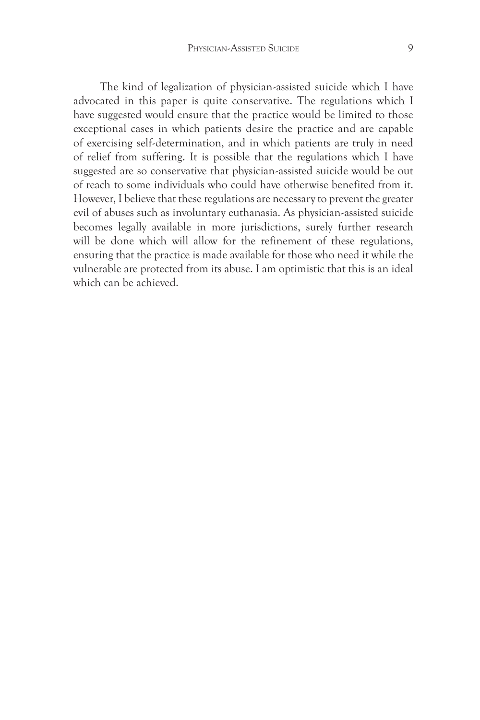The kind of legalization of physician-assisted suicide which I have advocated in this paper is quite conservative. The regulations which I have suggested would ensure that the practice would be limited to those exceptional cases in which patients desire the practice and are capable of exercising self-determination, and in which patients are truly in need of relief from suffering. It is possible that the regulations which I have suggested are so conservative that physician-assisted suicide would be out of reach to some individuals who could have otherwise benefited from it. However, I believe that these regulations are necessary to prevent the greater evil of abuses such as involuntary euthanasia. As physician-assisted suicide becomes legally available in more jurisdictions, surely further research will be done which will allow for the refinement of these regulations, ensuring that the practice is made available for those who need it while the vulnerable are protected from its abuse. I am optimistic that this is an ideal which can be achieved.